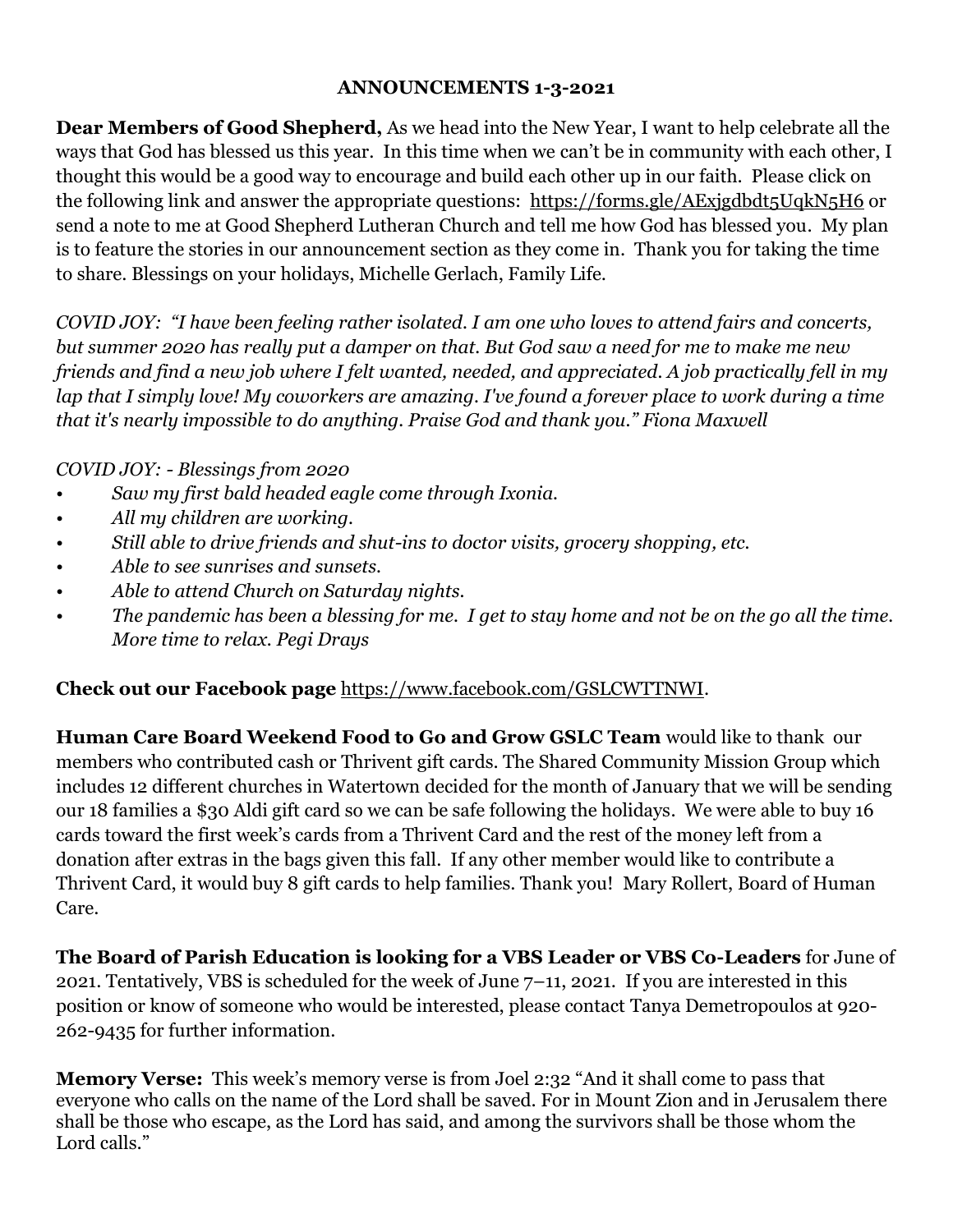## **ANNOUNCEMENTS 1-3-2021**

**Dear Members of Good Shepherd,** As we head into the New Year, I want to help celebrate all the ways that God has blessed us this year. In this time when we can't be in community with each other, I thought this would be a good way to encourage and build each other up in our faith. Please click on the following link and answer the appropriate questions: <https://forms.gle/AExjgdbdt5UqkN5H6> or send a note to me at Good Shepherd Lutheran Church and tell me how God has blessed you. My plan is to feature the stories in our announcement section as they come in. Thank you for taking the time to share. Blessings on your holidays, Michelle Gerlach, Family Life.

*COVID JOY: "I have been feeling rather isolated. I am one who loves to attend fairs and concerts, but summer 2020 has really put a damper on that. But God saw a need for me to make me new friends and find a new job where I felt wanted, needed, and appreciated. A job practically fell in my lap that I simply love! My coworkers are amazing. I've found a forever place to work during a time that it's nearly impossible to do anything. Praise God and thank you." Fiona Maxwell*

*COVID JOY: - Blessings from 2020*

- *• Saw my first bald headed eagle come through Ixonia.*
- *• All my children are working.*
- *• Still able to drive friends and shut-ins to doctor visits, grocery shopping, etc.*
- *• Able to see sunrises and sunsets.*
- *• Able to attend Church on Saturday nights.*
- *• The pandemic has been a blessing for me. I get to stay home and not be on the go all the time. More time to relax. Pegi Drays*

## **Check out our Facebook page** [https://www.facebook.com/GSLCWTTNWI.](https://www.facebook.com/GSLCWTTNWI)

**Human Care Board Weekend Food to Go and Grow GSLC Team** would like to thank our members who contributed cash or Thrivent gift cards. The Shared Community Mission Group which includes 12 different churches in Watertown decided for the month of January that we will be sending our 18 families a \$30 Aldi gift card so we can be safe following the holidays. We were able to buy 16 cards toward the first week's cards from a Thrivent Card and the rest of the money left from a donation after extras in the bags given this fall. If any other member would like to contribute a Thrivent Card, it would buy 8 gift cards to help families. Thank you! Mary Rollert, Board of Human Care.

**The Board of Parish Education is looking for a VBS Leader or VBS Co-Leaders** for June of 2021. Tentatively, VBS is scheduled for the week of June 7–11, 2021. If you are interested in this position or know of someone who would be interested, please contact Tanya Demetropoulos at 920- 262-9435 for further information.

**Memory Verse:** This week's memory verse is from Joel 2:32 "And it shall come to pass that everyone who calls on the name of the Lord shall be saved. For in Mount Zion and in Jerusalem there shall be those who escape, as the Lord has said, and among the survivors shall be those whom the Lord calls."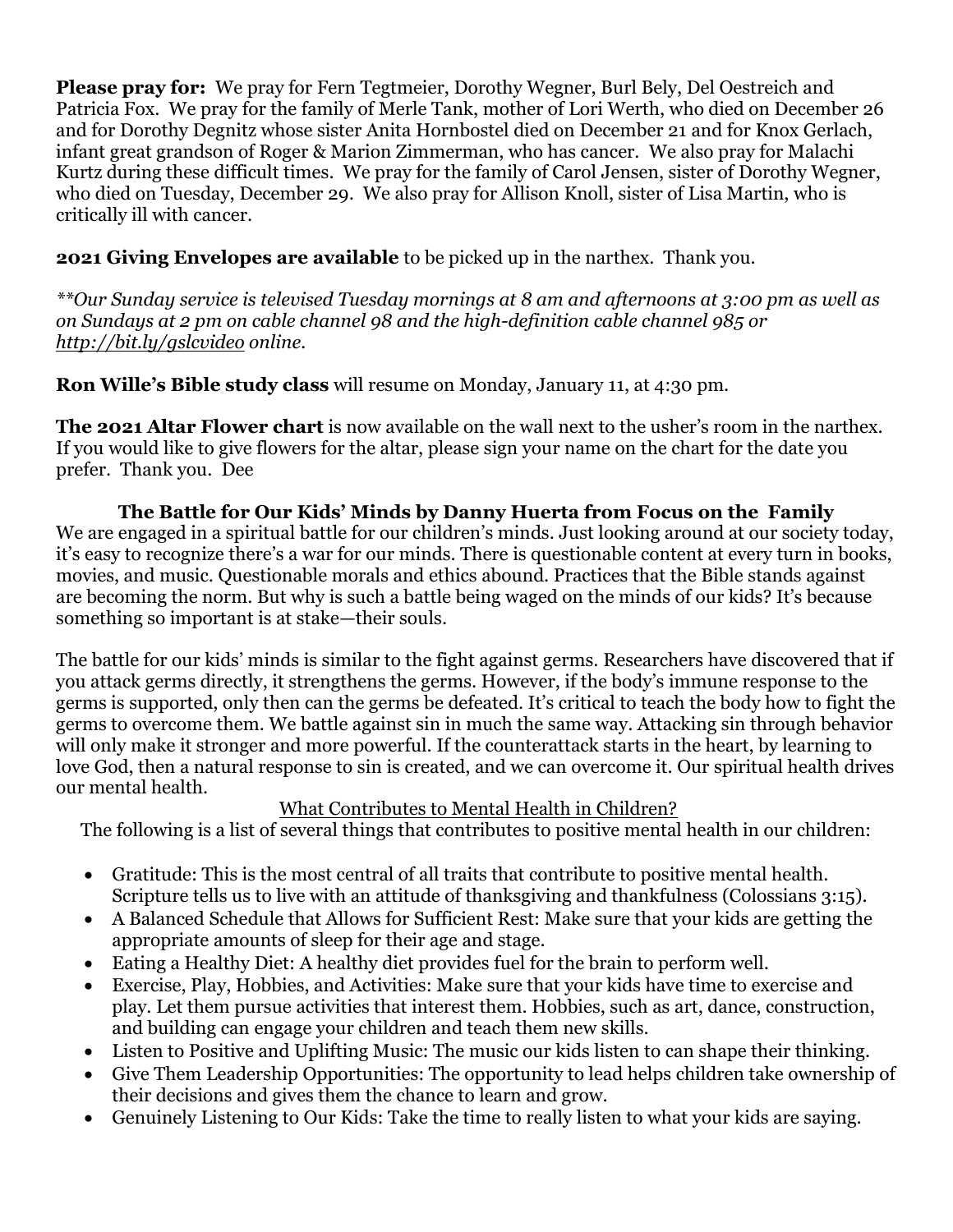**Please pray for:** We pray for Fern Tegtmeier, Dorothy Wegner, Burl Bely, Del Oestreich and Patricia Fox. We pray for the family of Merle Tank, mother of Lori Werth, who died on December 26 and for Dorothy Degnitz whose sister Anita Hornbostel died on December 21 and for Knox Gerlach, infant great grandson of Roger & Marion Zimmerman, who has cancer. We also pray for Malachi Kurtz during these difficult times. We pray for the family of Carol Jensen, sister of Dorothy Wegner, who died on Tuesday, December 29. We also pray for Allison Knoll, sister of Lisa Martin, who is critically ill with cancer.

## **2021 Giving Envelopes are available** to be picked up in the narthex. Thank you.

*\*\*Our Sunday service is televised Tuesday mornings at 8 am and afternoons at 3:00 pm as well as on Sundays at 2 pm on cable channel 98 and the high-definition cable channel 985 or <http://bit.ly/gslcvideo> online.*

**Ron Wille's Bible study class** will resume on Monday, January 11, at 4:30 pm.

**The 2021 Altar Flower chart** is now available on the wall next to the usher's room in the narthex. If you would like to give flowers for the altar, please sign your name on the chart for the date you prefer. Thank you. Dee

**The Battle for Our Kids' Minds by Danny Huerta from Focus on the Family** We are engaged in a spiritual battle for our children's minds. Just looking around at our society today, it's easy to recognize there's a war for our minds. There is questionable content at every turn in books, movies, and music. Questionable morals and ethics abound. Practices that the Bible stands against are becoming the norm. But why is such a battle being waged on the minds of our kids? It's because something so important is at stake—their souls.

The battle for our kids' minds is similar to the fight against germs. Researchers have discovered that if you attack germs directly, it strengthens the germs. However, if the body's immune response to the germs is supported, only then can the germs be defeated. It's critical to teach the body how to fight the germs to overcome them. We battle against sin in much the same way. Attacking sin through behavior will only make it stronger and more powerful. If the counterattack starts in the heart, by learning to love God, then a natural response to sin is created, and we can overcome it. Our spiritual health drives our mental health.

## What Contributes to Mental Health in Children?

The following is a list of several things that contributes to positive mental health in our children:

- Gratitude: This is the most central of all traits that contribute to positive mental health. Scripture tells us to live with an attitude of thanksgiving and thankfulness (Colossians 3:15).
- A Balanced Schedule that Allows for Sufficient Rest: Make sure that your kids are getting the appropriate amounts of sleep for their age and stage.
- Eating a Healthy Diet: A healthy diet provides fuel for the brain to perform well.
- Exercise, Play, Hobbies, and Activities: Make sure that your kids have time to exercise and play. Let them pursue activities that interest them. Hobbies, such as art, dance, construction, and building can engage your children and teach them new skills.
- Listen to Positive and Uplifting Music: The music our kids listen to can shape their thinking.
- Give Them Leadership Opportunities: The opportunity to lead helps children take ownership of their decisions and gives them the chance to learn and grow.
- Genuinely Listening to Our Kids: Take the time to really listen to what your kids are saying.